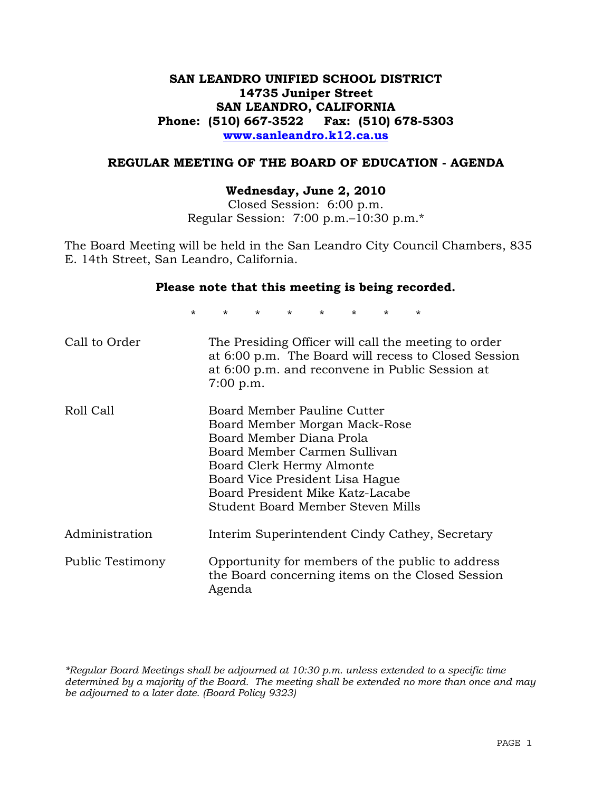### **SAN LEANDRO UNIFIED SCHOOL DISTRICT 14735 Juniper Street SAN LEANDRO, CALIFORNIA Phone: (510) 667-3522 Fax: (510) 678-5303 www.sanleandro.k12.ca.us**

#### **REGULAR MEETING OF THE BOARD OF EDUCATION - AGENDA**

#### **Wednesday, June 2, 2010**

Closed Session: 6:00 p.m. Regular Session: 7:00 p.m.–10:30 p.m.\*

The Board Meeting will be held in the San Leandro City Council Chambers, 835 E. 14th Street, San Leandro, California.

#### **Please note that this meeting is being recorded.**

\* \* \* \* \* \* \* \*

| Call to Order    | The Presiding Officer will call the meeting to order<br>at 6:00 p.m. The Board will recess to Closed Session<br>at 6:00 p.m. and reconvene in Public Session at<br>7:00 p.m.                                                                                      |
|------------------|-------------------------------------------------------------------------------------------------------------------------------------------------------------------------------------------------------------------------------------------------------------------|
| Roll Call        | Board Member Pauline Cutter<br>Board Member Morgan Mack-Rose<br>Board Member Diana Prola<br>Board Member Carmen Sullivan<br>Board Clerk Hermy Almonte<br>Board Vice President Lisa Hague<br>Board President Mike Katz-Lacabe<br>Student Board Member Steven Mills |
| Administration   | Interim Superintendent Cindy Cathey, Secretary                                                                                                                                                                                                                    |
| Public Testimony | Opportunity for members of the public to address<br>the Board concerning items on the Closed Session<br>Agenda                                                                                                                                                    |

*\*Regular Board Meetings shall be adjourned at 10:30 p.m. unless extended to a specific time determined by a majority of the Board. The meeting shall be extended no more than once and may be adjourned to a later date. (Board Policy 9323)*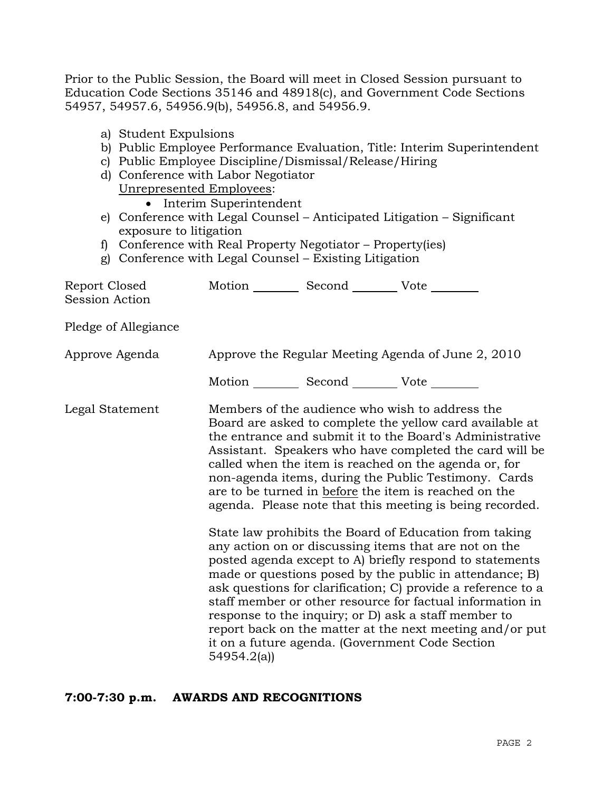Prior to the Public Session, the Board will meet in Closed Session pursuant to Education Code Sections 35146 and 48918(c), and Government Code Sections 54957, 54957.6, 54956.9(b), 54956.8, and 54956.9.

- b) Public Employee Performance Evaluation, Title: Interim Superintendent
- c) Public Employee Discipline/Dismissal/Release/Hiring
- d) Conference with Labor Negotiator Unrepresented Employees:
	- Interim Superintendent
- e) Conference with Legal Counsel Anticipated Litigation Significant exposure to litigation
- f) Conference with Real Property Negotiator Property(ies)
- g) Conference with Legal Counsel Existing Litigation

| Report Closed<br>Session Action | Motion __________ Second __________ Vote ________     |                                                                                                                                                                                                                                                                                                                                                                                                                                                                                                                                                                                                                                                                                                                                                                                                                                                                                                                                                                                                                        |
|---------------------------------|-------------------------------------------------------|------------------------------------------------------------------------------------------------------------------------------------------------------------------------------------------------------------------------------------------------------------------------------------------------------------------------------------------------------------------------------------------------------------------------------------------------------------------------------------------------------------------------------------------------------------------------------------------------------------------------------------------------------------------------------------------------------------------------------------------------------------------------------------------------------------------------------------------------------------------------------------------------------------------------------------------------------------------------------------------------------------------------|
| Pledge of Allegiance            |                                                       |                                                                                                                                                                                                                                                                                                                                                                                                                                                                                                                                                                                                                                                                                                                                                                                                                                                                                                                                                                                                                        |
| Approve Agenda                  |                                                       | Approve the Regular Meeting Agenda of June 2, 2010                                                                                                                                                                                                                                                                                                                                                                                                                                                                                                                                                                                                                                                                                                                                                                                                                                                                                                                                                                     |
|                                 | Motion ___________ Second ____________ Vote _________ |                                                                                                                                                                                                                                                                                                                                                                                                                                                                                                                                                                                                                                                                                                                                                                                                                                                                                                                                                                                                                        |
| Legal Statement                 | 54954.2(a)                                            | Members of the audience who wish to address the<br>Board are asked to complete the yellow card available at<br>the entrance and submit it to the Board's Administrative<br>Assistant. Speakers who have completed the card will be<br>called when the item is reached on the agenda or, for<br>non-agenda items, during the Public Testimony. Cards<br>are to be turned in before the item is reached on the<br>agenda. Please note that this meeting is being recorded.<br>State law prohibits the Board of Education from taking<br>any action on or discussing items that are not on the<br>posted agenda except to A) briefly respond to statements<br>made or questions posed by the public in attendance; B)<br>ask questions for clarification; C) provide a reference to a<br>staff member or other resource for factual information in<br>response to the inquiry; or D) ask a staff member to<br>report back on the matter at the next meeting and/or put<br>it on a future agenda. (Government Code Section |

### **7:00-7:30 p.m. AWARDS AND RECOGNITIONS**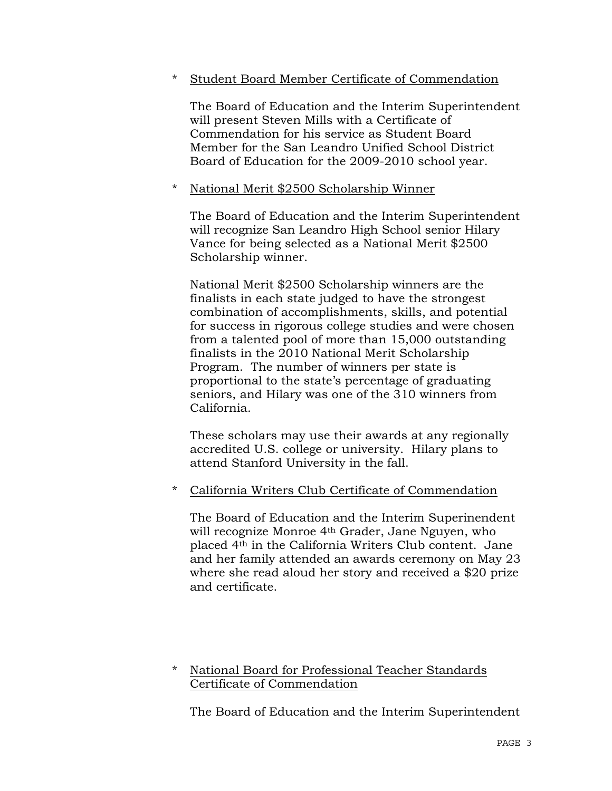### \* Student Board Member Certificate of Commendation

 The Board of Education and the Interim Superintendent will present Steven Mills with a Certificate of Commendation for his service as Student Board Member for the San Leandro Unified School District Board of Education for the 2009-2010 school year.

### \* National Merit \$2500 Scholarship Winner

 The Board of Education and the Interim Superintendent will recognize San Leandro High School senior Hilary Vance for being selected as a National Merit \$2500 Scholarship winner.

 National Merit \$2500 Scholarship winners are the finalists in each state judged to have the strongest combination of accomplishments, skills, and potential for success in rigorous college studies and were chosen from a talented pool of more than 15,000 outstanding finalists in the 2010 National Merit Scholarship Program. The number of winners per state is proportional to the state's percentage of graduating seniors, and Hilary was one of the 310 winners from California.

 These scholars may use their awards at any regionally accredited U.S. college or university. Hilary plans to attend Stanford University in the fall.

# \* California Writers Club Certificate of Commendation

 The Board of Education and the Interim Superinendent will recognize Monroe 4th Grader, Jane Nguyen, who placed 4th in the California Writers Club content. Jane and her family attended an awards ceremony on May 23 where she read aloud her story and received a \$20 prize and certificate.

### \* National Board for Professional Teacher Standards Certificate of Commendation

The Board of Education and the Interim Superintendent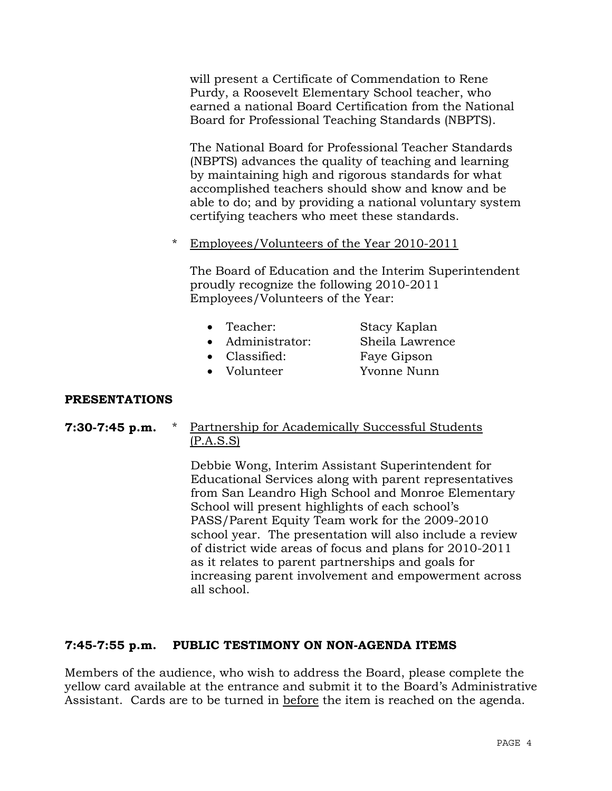will present a Certificate of Commendation to Rene Purdy, a Roosevelt Elementary School teacher, who earned a national Board Certification from the National Board for Professional Teaching Standards (NBPTS).

 The National Board for Professional Teacher Standards (NBPTS) advances the quality of teaching and learning by maintaining high and rigorous standards for what accomplished teachers should show and know and be able to do; and by providing a national voluntary system certifying teachers who meet these standards.

\* Employees/Volunteers of the Year 2010-2011

 The Board of Education and the Interim Superintendent proudly recognize the following 2010-2011 Employees/Volunteers of the Year:

| $\bullet$ Teacher: | Stacy Kaplan    |
|--------------------|-----------------|
| • Administrator:   | Sheila Lawrence |
| • Classified:      | Faye Gipson     |
| • Volunteer        | Yvonne Nunn     |

### **PRESENTATIONS**

**7:30-7:45 p.m.** \* Partnership for Academically Successful Students (P.A.S.S)

> Debbie Wong, Interim Assistant Superintendent for Educational Services along with parent representatives from San Leandro High School and Monroe Elementary School will present highlights of each school's PASS/Parent Equity Team work for the 2009-2010 school year. The presentation will also include a review of district wide areas of focus and plans for 2010-2011 as it relates to parent partnerships and goals for increasing parent involvement and empowerment across all school.

### **7:45-7:55 p.m. PUBLIC TESTIMONY ON NON-AGENDA ITEMS**

Members of the audience, who wish to address the Board, please complete the yellow card available at the entrance and submit it to the Board's Administrative Assistant. Cards are to be turned in before the item is reached on the agenda.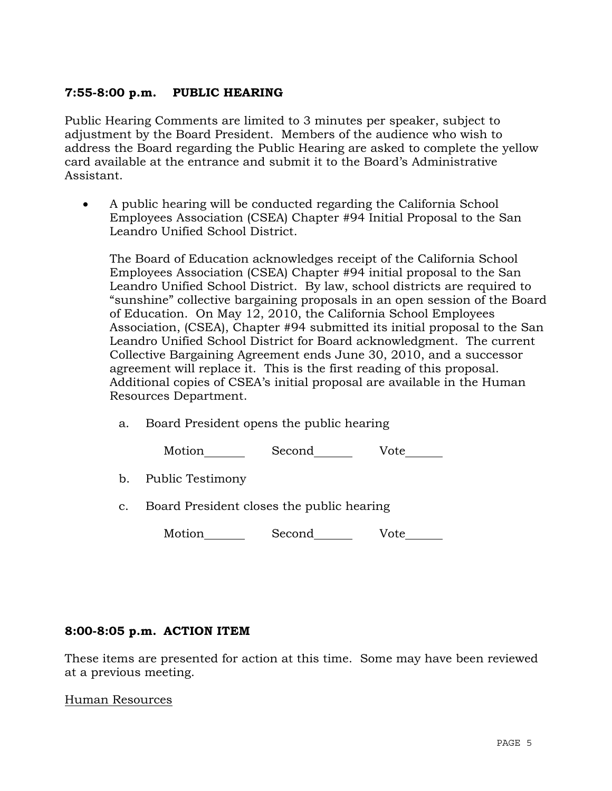### **7:55-8:00 p.m. PUBLIC HEARING**

Public Hearing Comments are limited to 3 minutes per speaker, subject to adjustment by the Board President. Members of the audience who wish to address the Board regarding the Public Hearing are asked to complete the yellow card available at the entrance and submit it to the Board's Administrative Assistant.

• A public hearing will be conducted regarding the California School Employees Association (CSEA) Chapter #94 Initial Proposal to the San Leandro Unified School District.

 The Board of Education acknowledges receipt of the California School Employees Association (CSEA) Chapter #94 initial proposal to the San Leandro Unified School District. By law, school districts are required to "sunshine" collective bargaining proposals in an open session of the Board of Education. On May 12, 2010, the California School Employees Association, (CSEA), Chapter #94 submitted its initial proposal to the San Leandro Unified School District for Board acknowledgment. The current Collective Bargaining Agreement ends June 30, 2010, and a successor agreement will replace it. This is the first reading of this proposal. Additional copies of CSEA's initial proposal are available in the Human Resources Department.

a. Board President opens the public hearing

| Motion | Second | Vote |
|--------|--------|------|
|--------|--------|------|

- b. Public Testimony
- c. Board President closes the public hearing

|  | Vote<br>Second | Motion |
|--|----------------|--------|
|--|----------------|--------|

### **8:00-8:05 p.m. ACTION ITEM**

These items are presented for action at this time. Some may have been reviewed at a previous meeting.

Human Resources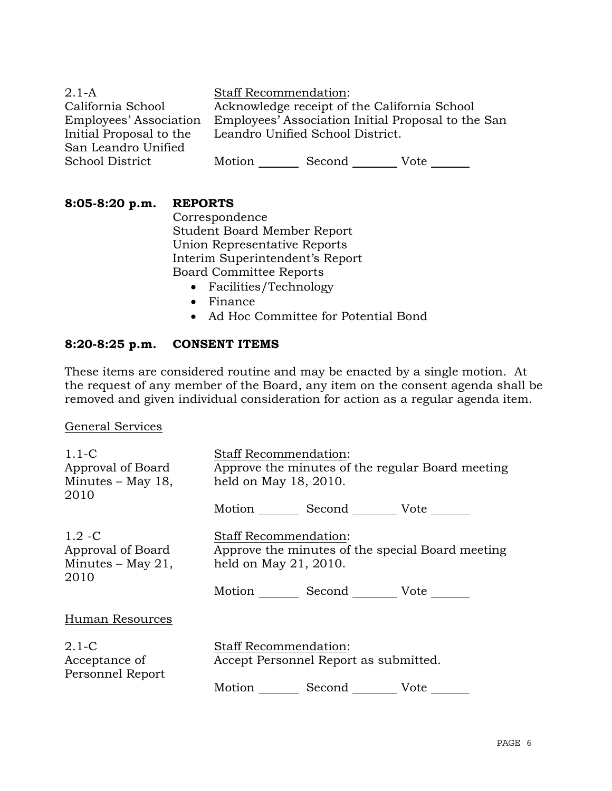2.1-A California School Employees' Association Initial Proposal to the San Leandro Unified School District Staff Recommendation: Acknowledge receipt of the California School Employees' Association Initial Proposal to the San Leandro Unified School District. Motion Second Vote \_\_\_\_\_\_

| 8:05-8:20 p.m. |  |  | RE. |
|----------------|--|--|-----|
|----------------|--|--|-----|

**8:05-8:20 p.m. REPORTS**

 Correspondence Student Board Member Report Union Representative Reports Interim Superintendent's Report Board Committee Reports

- Facilities/Technology
- Finance
- Ad Hoc Committee for Potential Bond

# **8:20-8:25 p.m. CONSENT ITEMS**

These items are considered routine and may be enacted by a single motion. At the request of any member of the Board, any item on the consent agenda shall be removed and given individual consideration for action as a regular agenda item.

General Services

| $1.1-C$<br>Approval of Board<br>Minutes – May 18,<br>2010   | <b>Staff Recommendation:</b><br>Approve the minutes of the regular Board meeting<br>held on May 18, 2010. |                           |                                                  |
|-------------------------------------------------------------|-----------------------------------------------------------------------------------------------------------|---------------------------|--------------------------------------------------|
|                                                             |                                                                                                           | Motion Second Vote        |                                                  |
| $1.2 - C$<br>Approval of Board<br>Minutes – May 21,<br>2010 | <b>Staff Recommendation:</b><br>held on May 21, 2010.                                                     | Motion Second Vote ______ | Approve the minutes of the special Board meeting |
| Human Resources                                             |                                                                                                           |                           |                                                  |
| $2.1-C$<br>Acceptance of<br>Personnel Report                | <b>Staff Recommendation:</b><br>Accept Personnel Report as submitted.<br>Motion Second Vote               |                           |                                                  |
|                                                             |                                                                                                           |                           |                                                  |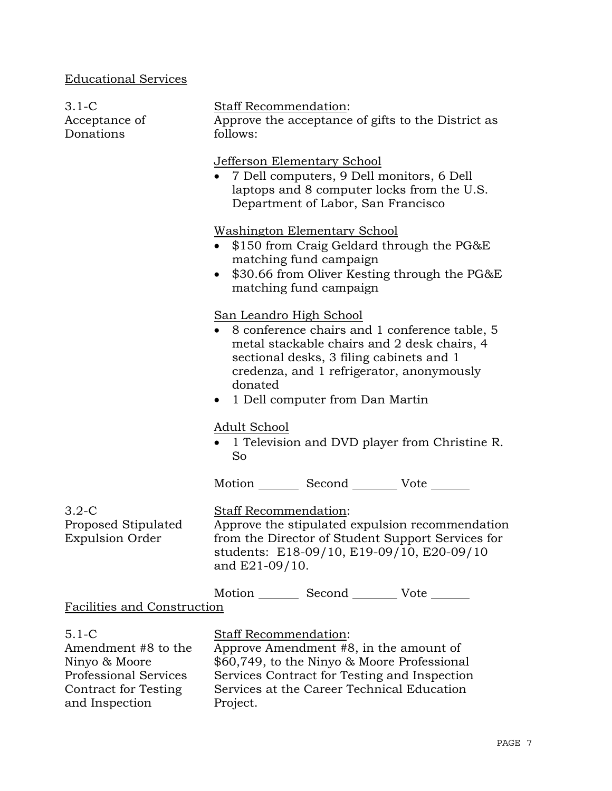# Educational Services

Contract for Testing

and Inspection

| $3.1-C$<br>Acceptance of<br>Donations                                      | <b>Staff Recommendation:</b><br>Approve the acceptance of gifts to the District as<br>follows:                                                                                                                                                                   |  |  |  |
|----------------------------------------------------------------------------|------------------------------------------------------------------------------------------------------------------------------------------------------------------------------------------------------------------------------------------------------------------|--|--|--|
|                                                                            | Jefferson Elementary School<br>• 7 Dell computers, 9 Dell monitors, 6 Dell<br>laptops and 8 computer locks from the U.S.<br>Department of Labor, San Francisco                                                                                                   |  |  |  |
|                                                                            | <b>Washington Elementary School</b><br>\$150 from Craig Geldard through the PG&E<br>matching fund campaign<br>\$30.66 from Oliver Kesting through the PG&E<br>$\bullet$<br>matching fund campaign                                                                |  |  |  |
|                                                                            | San Leandro High School<br>8 conference chairs and 1 conference table, 5<br>metal stackable chairs and 2 desk chairs, 4<br>sectional desks, 3 filing cabinets and 1<br>credenza, and 1 refrigerator, anonymously<br>donated<br>• 1 Dell computer from Dan Martin |  |  |  |
|                                                                            | Adult School<br>• 1 Television and DVD player from Christine R.<br>So                                                                                                                                                                                            |  |  |  |
|                                                                            | Motion _________ Second __________ Vote _______                                                                                                                                                                                                                  |  |  |  |
| $3.2 - C$<br>Proposed Stipulated<br><b>Expulsion Order</b>                 | Staff Recommendation:<br>Approve the stipulated expulsion recommendation<br>from the Director of Student Support Services for<br>students: E18-09/10, E19-09/10, E20-09/10<br>and E21-09/10.                                                                     |  |  |  |
| Facilities and Construction                                                | Motion _________ Second __________ Vote _______                                                                                                                                                                                                                  |  |  |  |
|                                                                            |                                                                                                                                                                                                                                                                  |  |  |  |
| $5.1 - C$<br>Amendment #8 to the<br>Ninyo & Moore<br>Professional Services | Staff Recommendation:<br>Approve Amendment #8, in the amount of<br>\$60,749, to the Ninyo & Moore Professional<br>Services Contract for Testing and Inspection                                                                                                   |  |  |  |

Services at the Career Technical Education

Project.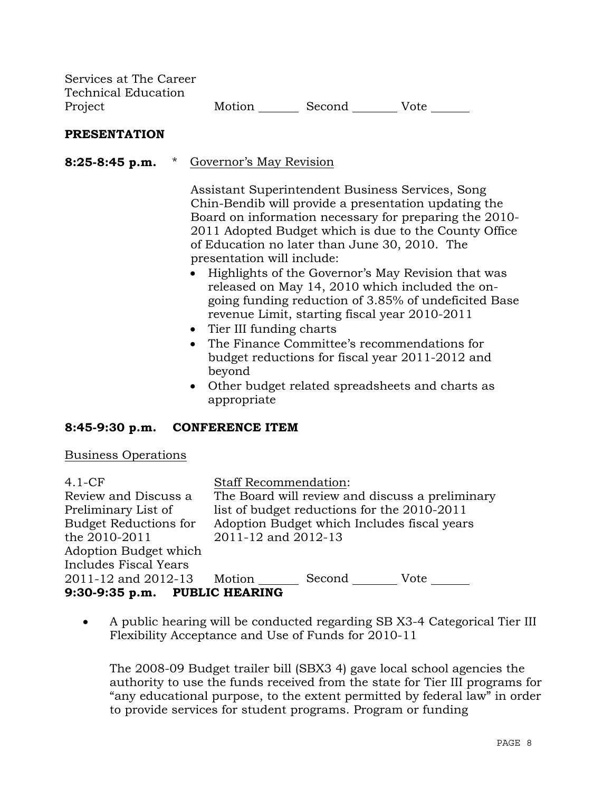| Services at The Career |        |        |      |
|------------------------|--------|--------|------|
| Technical Education    |        |        |      |
| Project                | Motion | Second | Vote |

#### **PRESENTATION**

**8:25-8:45 p.m.** \* Governor's May Revision

 Assistant Superintendent Business Services, Song Chin-Bendib will provide a presentation updating the Board on information necessary for preparing the 2010- 2011 Adopted Budget which is due to the County Office of Education no later than June 30, 2010. The presentation will include:

- Highlights of the Governor's May Revision that was released on May 14, 2010 which included the ongoing funding reduction of 3.85% of undeficited Base revenue Limit, starting fiscal year 2010-2011
- Tier III funding charts
- The Finance Committee's recommendations for budget reductions for fiscal year 2011-2012 and beyond
- Other budget related spreadsheets and charts as appropriate

#### **8:45-9:30 p.m. CONFERENCE ITEM**

#### Business Operations

| $4.1-CF$                      | <b>Staff Recommendation:</b>                    |
|-------------------------------|-------------------------------------------------|
| Review and Discuss a          | The Board will review and discuss a preliminary |
| Preliminary List of           | list of budget reductions for the 2010-2011     |
| <b>Budget Reductions for</b>  | Adoption Budget which Includes fiscal years     |
| the 2010-2011                 | 2011-12 and 2012-13                             |
| Adoption Budget which         |                                                 |
| <b>Includes Fiscal Years</b>  |                                                 |
| 2011-12 and 2012-13 Motion    | Second<br>Vote                                  |
| 9:30-9:35 p.m. PUBLIC HEARING |                                                 |

• A public hearing will be conducted regarding SB X3-4 Categorical Tier III Flexibility Acceptance and Use of Funds for 2010-11

 The 2008-09 Budget trailer bill (SBX3 4) gave local school agencies the authority to use the funds received from the state for Tier III programs for "any educational purpose, to the extent permitted by federal law" in order to provide services for student programs. Program or funding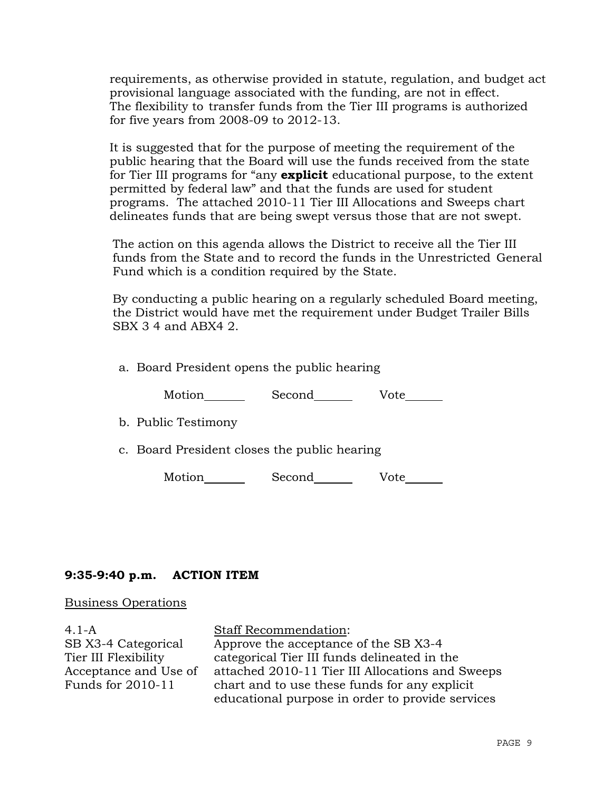requirements, as otherwise provided in statute, regulation, and budget act provisional language associated with the funding, are not in effect. The flexibility to transfer funds from the Tier III programs is authorized for five years from 2008-09 to 2012-13.

 It is suggested that for the purpose of meeting the requirement of the public hearing that the Board will use the funds received from the state for Tier III programs for "any **explicit** educational purpose, to the extent permitted by federal law" and that the funds are used for student programs. The attached 2010-11 Tier III Allocations and Sweeps chart delineates funds that are being swept versus those that are not swept.

 The action on this agenda allows the District to receive all the Tier III funds from the State and to record the funds in the Unrestricted General Fund which is a condition required by the State.

 By conducting a public hearing on a regularly scheduled Board meeting, the District would have met the requirement under Budget Trailer Bills SBX 3 4 and ABX4 2.

a. Board President opens the public hearing

Motion Second Vote

b. Public Testimony

c. Board President closes the public hearing

Motion Second Vote

### **9:35-9:40 p.m. ACTION ITEM**

#### Business Operations

4.1-A SB X3-4 Categorical Tier III Flexibility Acceptance and Use of Funds for 2010-11 Staff Recommendation: Approve the acceptance of the SB X3-4 categorical Tier III funds delineated in the attached 2010-11 Tier III Allocations and Sweeps chart and to use these funds for any explicit educational purpose in order to provide services